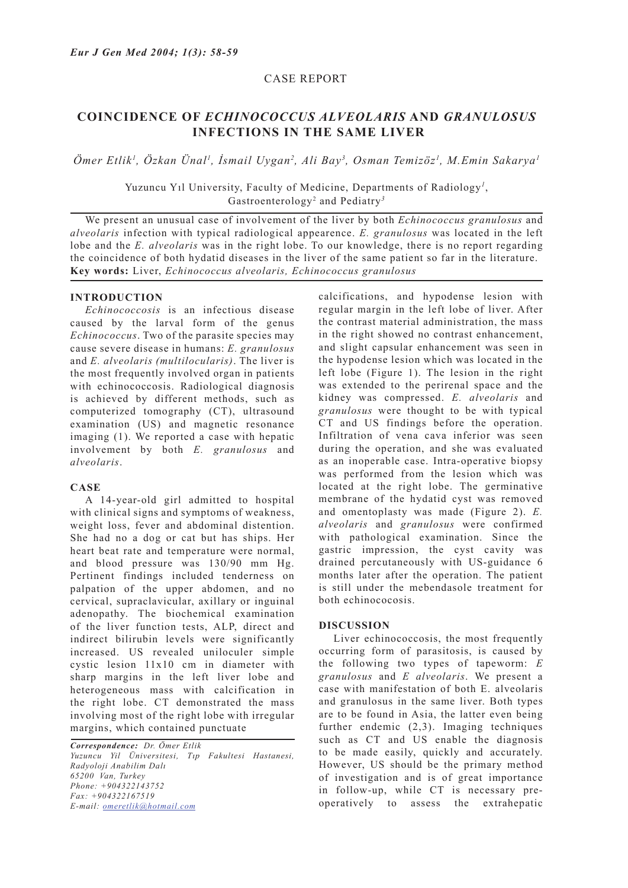## CASE REPORT

# **COINCIDENCE OF** *ECHINOCOCCUS ALVEOLARIS* **AND** *GRANULOSUS*  **INFECTIONS IN THE SAME LIVER**

*Ömer Etlik1 , Özkan Ünal1 , İsmail Uygan<sup>2</sup> , Ali Bay<sup>3</sup> , Osman Temizöz<sup>1</sup> , M.Emin Sakarya<sup>1</sup>*

Yuzuncu Yıl University, Faculty of Medicine, Departments of Radiology*<sup>1</sup>* , Gastroenterology<sup>2</sup> and Pediatry*<sup>3</sup>*

We present an unusual case of involvement of the liver by both *Echinococcus granulosus* and *alveolaris* infection with typical radiological appearence. *E. granulosus* was located in the left lobe and the *E. alveolaris* was in the right lobe. To our knowledge, there is no report regarding the coincidence of both hydatid diseases in the liver of the same patient so far in the literature. **Key words:** Liver, *Echinococcus alveolaris, Echinococcus granulosus*

## **INTRODUCTION**

*Echinococcosis* is an infectious disease caused by the larval form of the genus *Echinococcus*. Two of the parasite species may cause severe disease in humans: *E. granulosus* and *E. alveolaris (multilocularis)*. The liver is the most frequently involved organ in patients with echinococcosis. Radiological diagnosis is achieved by different methods, such as computerized tomography (CT), ultrasound examination (US) and magnetic resonance imaging (1). We reported a case with hepatic involvement by both *E. granulosus* and *alveolaris*.

#### **CASE**

A 14-year-old girl admitted to hospital with clinical signs and symptoms of weakness, weight loss, fever and abdominal distention. She had no a dog or cat but has ships. Her heart beat rate and temperature were normal, and blood pressure was 130/90 mm Hg. Pertinent findings included tenderness on palpation of the upper abdomen, and no cervical, supraclavicular, axillary or inguinal adenopathy. The biochemical examination of the liver function tests, ALP, direct and indirect bilirubin levels were significantly increased. US revealed uniloculer simple cystic lesion 11x10 cm in diameter with sharp margins in the left liver lobe and heterogeneous mass with calcification in the right lobe. CT demonstrated the mass involving most of the right lobe with irregular margins, which contained punctuate

*Correspondence: Dr. Ömer Etlik Yuzuncu Yil Üniversitesi, Tıp Fakultesi Hastanesi, Radyoloji Anabilim Dalı 65200 Van, Turkey Phone: +904322143752 Fax: +904322167519 E-mail: omeretlik@hotmail.com*

calcifications, and hypodense lesion with regular margin in the left lobe of liver. After the contrast material administration, the mass in the right showed no contrast enhancement, and slight capsular enhancement was seen in the hypodense lesion which was located in the left lobe (Figure 1). The lesion in the right was extended to the perirenal space and the kidney was compressed. *E. alveolaris* and *granulosus* were thought to be with typical CT and US findings before the operation. Infiltration of vena cava inferior was seen during the operation, and she was evaluated as an inoperable case. Intra-operative biopsy was performed from the lesion which was located at the right lobe. The germinative membrane of the hydatid cyst was removed and omentoplasty was made (Figure 2). *E. alveolaris* and *granulosus* were confirmed with pathological examination. Since the gastric impression, the cyst cavity was drained percutaneously with US-guidance 6 months later after the operation. The patient is still under the mebendasole treatment for both echinococosis.

### **DISCUSSION**

Liver echinococcosis, the most frequently occurring form of parasitosis, is caused by the following two types of tapeworm: *E granulosus* and *E alveolaris*. We present a case with manifestation of both E. alveolaris and granulosus in the same liver. Both types are to be found in Asia, the latter even being further endemic (2,3). Imaging techniques such as CT and US enable the diagnosis to be made easily, quickly and accurately. However, US should be the primary method of investigation and is of great importance in follow-up, while CT is necessary preoperatively to assess the extrahepatic